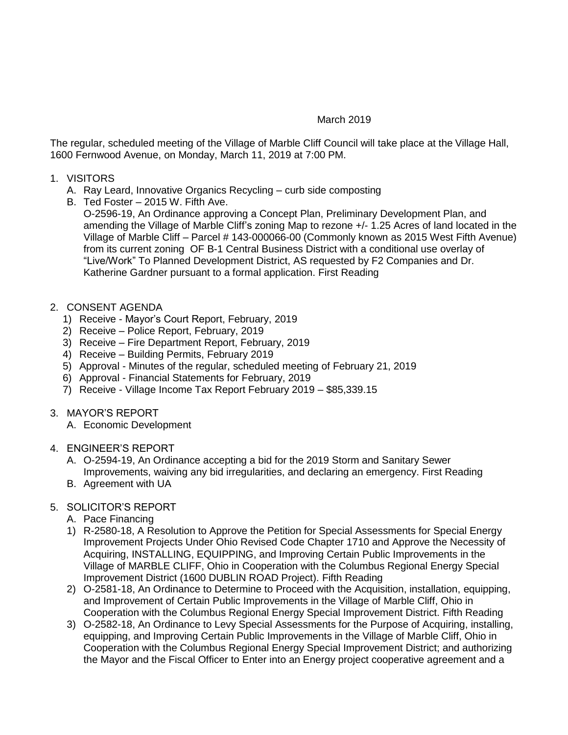## March 2019

The regular, scheduled meeting of the Village of Marble Cliff Council will take place at the Village Hall, 1600 Fernwood Avenue, on Monday, March 11, 2019 at 7:00 PM.

- 1. VISITORS
	- A. Ray Leard, Innovative Organics Recycling curb side composting
	- B. Ted Foster 2015 W. Fifth Ave.

O-2596-19, An Ordinance approving a Concept Plan, Preliminary Development Plan, and amending the Village of Marble Cliff's zoning Map to rezone +/- 1.25 Acres of land located in the Village of Marble Cliff – Parcel # 143-000066-00 (Commonly known as 2015 West Fifth Avenue) from its current zoning OF B-1 Central Business District with a conditional use overlay of "Live/Work" To Planned Development District, AS requested by F2 Companies and Dr. Katherine Gardner pursuant to a formal application. First Reading

- 2. CONSENT AGENDA
	- 1) Receive Mayor's Court Report, February, 2019
	- 2) Receive Police Report, February, 2019
	- 3) Receive Fire Department Report, February, 2019
	- 4) Receive Building Permits, February 2019
	- 5) Approval Minutes of the regular, scheduled meeting of February 21, 2019
	- 6) Approval Financial Statements for February, 2019
	- 7) Receive Village Income Tax Report February 2019 \$85,339.15
- 3. MAYOR'S REPORT
	- A. Economic Development
- 4. ENGINEER'S REPORT
	- A. O-2594-19, An Ordinance accepting a bid for the 2019 Storm and Sanitary Sewer Improvements, waiving any bid irregularities, and declaring an emergency. First Reading
	- B. Agreement with UA

## 5. SOLICITOR'S REPORT

- A. Pace Financing
- 1) R-2580-18, A Resolution to Approve the Petition for Special Assessments for Special Energy Improvement Projects Under Ohio Revised Code Chapter 1710 and Approve the Necessity of Acquiring, INSTALLING, EQUIPPING, and Improving Certain Public Improvements in the Village of MARBLE CLIFF, Ohio in Cooperation with the Columbus Regional Energy Special Improvement District (1600 DUBLIN ROAD Project). Fifth Reading
- 2) O-2581-18, An Ordinance to Determine to Proceed with the Acquisition, installation, equipping, and Improvement of Certain Public Improvements in the Village of Marble Cliff, Ohio in Cooperation with the Columbus Regional Energy Special Improvement District. Fifth Reading
- 3) O-2582-18, An Ordinance to Levy Special Assessments for the Purpose of Acquiring, installing, equipping, and Improving Certain Public Improvements in the Village of Marble Cliff, Ohio in Cooperation with the Columbus Regional Energy Special Improvement District; and authorizing the Mayor and the Fiscal Officer to Enter into an Energy project cooperative agreement and a